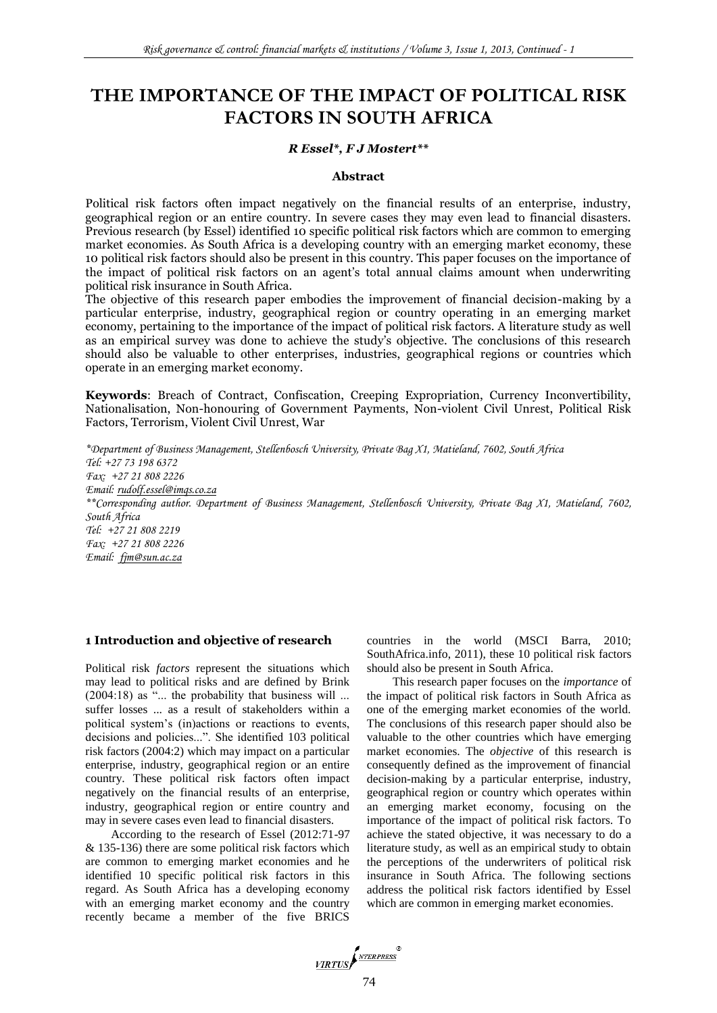# **THE IMPORTANCE OF THE IMPACT OF POLITICAL RISK FACTORS IN SOUTH AFRICA**

#### *R Essel\*, F J Mostert\*\**

#### **Abstract**

Political risk factors often impact negatively on the financial results of an enterprise, industry, geographical region or an entire country. In severe cases they may even lead to financial disasters. Previous research (by Essel) identified 10 specific political risk factors which are common to emerging market economies. As South Africa is a developing country with an emerging market economy, these 10 political risk factors should also be present in this country. This paper focuses on the importance of the impact of political risk factors on an agent's total annual claims amount when underwriting political risk insurance in South Africa.

The objective of this research paper embodies the improvement of financial decision-making by a particular enterprise, industry, geographical region or country operating in an emerging market economy, pertaining to the importance of the impact of political risk factors. A literature study as well as an empirical survey was done to achieve the study's objective. The conclusions of this research should also be valuable to other enterprises, industries, geographical regions or countries which operate in an emerging market economy.

**Keywords**: Breach of Contract, Confiscation, Creeping Expropriation, Currency Inconvertibility, Nationalisation, Non-honouring of Government Payments, Non-violent Civil Unrest, Political Risk Factors, Terrorism, Violent Civil Unrest, War

*\*Department of Business Management, Stellenbosch University, Private Bag X1, Matieland, 7602, South Africa Tel: +27 73 198 6372 Fax: +27 21 808 2226 Email: rudolf.essel@imqs.co.za \*\*Corresponding author. Department of Business Management, Stellenbosch University, Private Bag X1, Matieland, 7602, South Africa Tel: +27 21 808 2219 Fax: +27 21 808 2226 Email: fjm@sun.ac.za*

#### **1 Introduction and objective of research**

Political risk *factors* represent the situations which may lead to political risks and are defined by Brink  $(2004:18)$  as "... the probability that business will ... suffer losses ... as a result of stakeholders within a political system's (in)actions or reactions to events, decisions and policies...". She identified 103 political risk factors (2004:2) which may impact on a particular enterprise, industry, geographical region or an entire country. These political risk factors often impact negatively on the financial results of an enterprise, industry, geographical region or entire country and may in severe cases even lead to financial disasters.

According to the research of Essel (2012:71-97 & 135-136) there are some political risk factors which are common to emerging market economies and he identified 10 specific political risk factors in this regard. As South Africa has a developing economy with an emerging market economy and the country recently became a member of the five BRICS

countries in the world (MSCI Barra, 2010; SouthAfrica.info, 2011), these 10 political risk factors should also be present in South Africa.

This research paper focuses on the *importance* of the impact of political risk factors in South Africa as one of the emerging market economies of the world. The conclusions of this research paper should also be valuable to the other countries which have emerging market economies. The *objective* of this research is consequently defined as the improvement of financial decision-making by a particular enterprise, industry, geographical region or country which operates within an emerging market economy, focusing on the importance of the impact of political risk factors. To achieve the stated objective, it was necessary to do a literature study, as well as an empirical study to obtain the perceptions of the underwriters of political risk insurance in South Africa. The following sections address the political risk factors identified by Essel which are common in emerging market economies.

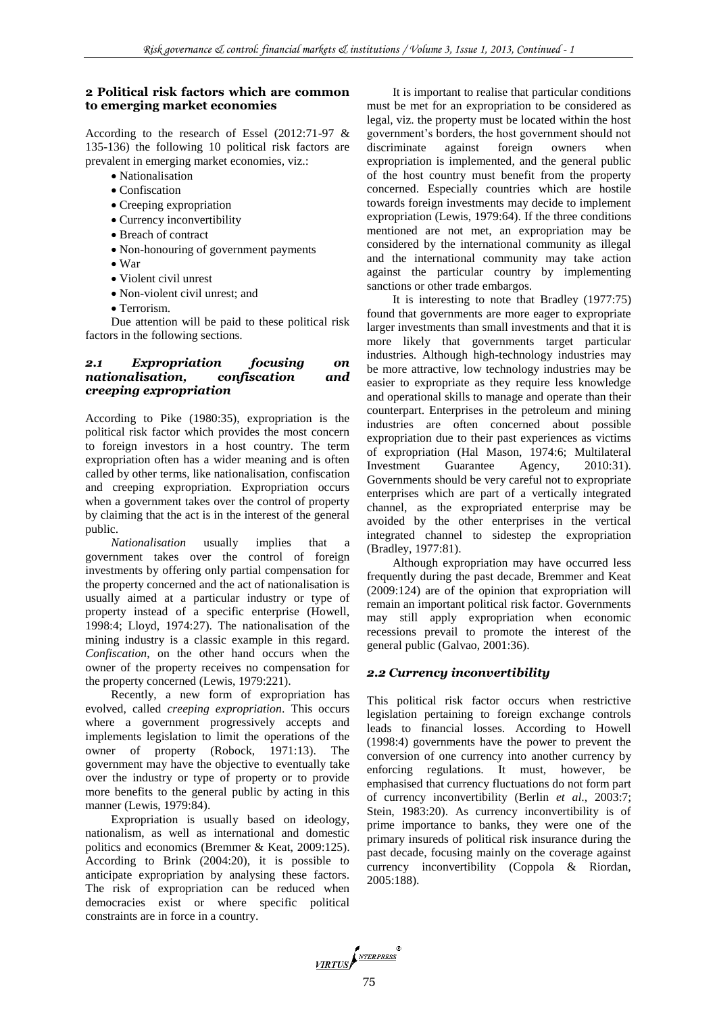#### **2 Political risk factors which are common to emerging market economies**

According to the research of Essel (2012:71-97 & 135-136) the following 10 political risk factors are prevalent in emerging market economies, viz.:

- Nationalisation
- Confiscation
- Creeping expropriation
- Currency inconvertibility
- Breach of contract
- Non-honouring of government payments
- War
- Violent civil unrest
- Non-violent civil unrest; and
- Terrorism.

Due attention will be paid to these political risk factors in the following sections.

## *2.1 Expropriation focusing on nationalisation, confiscation and creeping expropriation*

According to Pike (1980:35), expropriation is the political risk factor which provides the most concern to foreign investors in a host country. The term expropriation often has a wider meaning and is often called by other terms, like nationalisation, confiscation and creeping expropriation. Expropriation occurs when a government takes over the control of property by claiming that the act is in the interest of the general public.

*Nationalisation* usually implies that government takes over the control of foreign investments by offering only partial compensation for the property concerned and the act of nationalisation is usually aimed at a particular industry or type of property instead of a specific enterprise (Howell, 1998:4; Lloyd, 1974:27). The nationalisation of the mining industry is a classic example in this regard. *Confiscation*, on the other hand occurs when the owner of the property receives no compensation for the property concerned (Lewis, 1979:221).

Recently, a new form of expropriation has evolved, called *creeping expropriation*. This occurs where a government progressively accepts and implements legislation to limit the operations of the owner of property (Robock, 1971:13). The government may have the objective to eventually take over the industry or type of property or to provide more benefits to the general public by acting in this manner (Lewis, 1979:84).

Expropriation is usually based on ideology, nationalism, as well as international and domestic politics and economics (Bremmer & Keat, 2009:125). According to Brink (2004:20), it is possible to anticipate expropriation by analysing these factors. The risk of expropriation can be reduced when democracies exist or where specific political constraints are in force in a country.

It is important to realise that particular conditions must be met for an expropriation to be considered as legal, viz. the property must be located within the host government's borders, the host government should not discriminate against foreign owners when expropriation is implemented, and the general public of the host country must benefit from the property concerned. Especially countries which are hostile towards foreign investments may decide to implement expropriation (Lewis, 1979:64). If the three conditions mentioned are not met, an expropriation may be considered by the international community as illegal and the international community may take action against the particular country by implementing sanctions or other trade embargos.

It is interesting to note that Bradley (1977:75) found that governments are more eager to expropriate larger investments than small investments and that it is more likely that governments target particular industries. Although high-technology industries may be more attractive, low technology industries may be easier to expropriate as they require less knowledge and operational skills to manage and operate than their counterpart. Enterprises in the petroleum and mining industries are often concerned about possible expropriation due to their past experiences as victims of expropriation (Hal Mason, 1974:6; Multilateral Investment Guarantee Agency, 2010:31). Governments should be very careful not to expropriate enterprises which are part of a vertically integrated channel, as the expropriated enterprise may be avoided by the other enterprises in the vertical integrated channel to sidestep the expropriation (Bradley, 1977:81).

Although expropriation may have occurred less frequently during the past decade, Bremmer and Keat (2009:124) are of the opinion that expropriation will remain an important political risk factor. Governments may still apply expropriation when economic recessions prevail to promote the interest of the general public (Galvao, 2001:36).

# *2.2 Currency inconvertibility*

This political risk factor occurs when restrictive legislation pertaining to foreign exchange controls leads to financial losses. According to Howell (1998:4) governments have the power to prevent the conversion of one currency into another currency by enforcing regulations. It must, however, be emphasised that currency fluctuations do not form part of currency inconvertibility (Berlin *et al*., 2003:7; Stein, 1983:20). As currency inconvertibility is of prime importance to banks, they were one of the primary insureds of political risk insurance during the past decade, focusing mainly on the coverage against currency inconvertibility (Coppola & Riordan, 2005:188).

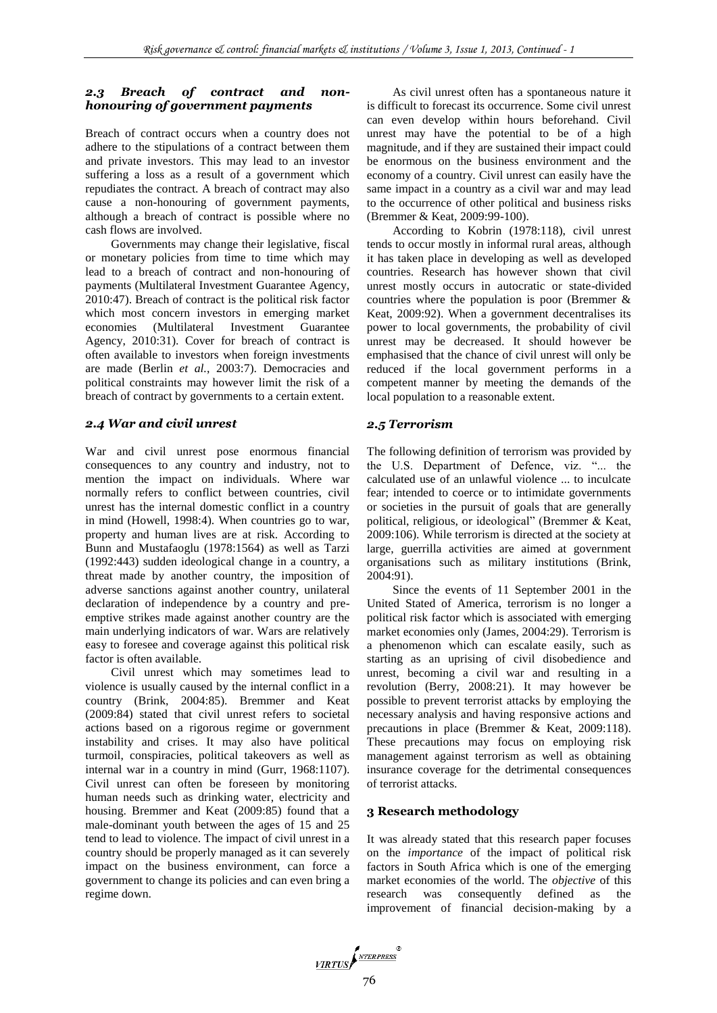## *2.3 Breach of contract and nonhonouring of government payments*

Breach of contract occurs when a country does not adhere to the stipulations of a contract between them and private investors. This may lead to an investor suffering a loss as a result of a government which repudiates the contract. A breach of contract may also cause a non-honouring of government payments, although a breach of contract is possible where no cash flows are involved.

Governments may change their legislative, fiscal or monetary policies from time to time which may lead to a breach of contract and non-honouring of payments (Multilateral Investment Guarantee Agency, 2010:47). Breach of contract is the political risk factor which most concern investors in emerging market economies (Multilateral Investment Guarantee Agency, 2010:31). Cover for breach of contract is often available to investors when foreign investments are made (Berlin *et al.*, 2003:7). Democracies and political constraints may however limit the risk of a breach of contract by governments to a certain extent.

#### *2.4 War and civil unrest*

War and civil unrest pose enormous financial consequences to any country and industry, not to mention the impact on individuals. Where war normally refers to conflict between countries, civil unrest has the internal domestic conflict in a country in mind (Howell, 1998:4). When countries go to war, property and human lives are at risk. According to Bunn and Mustafaoglu (1978:1564) as well as Tarzi (1992:443) sudden ideological change in a country, a threat made by another country, the imposition of adverse sanctions against another country, unilateral declaration of independence by a country and preemptive strikes made against another country are the main underlying indicators of war. Wars are relatively easy to foresee and coverage against this political risk factor is often available.

Civil unrest which may sometimes lead to violence is usually caused by the internal conflict in a country (Brink, 2004:85). Bremmer and Keat (2009:84) stated that civil unrest refers to societal actions based on a rigorous regime or government instability and crises. It may also have political turmoil, conspiracies, political takeovers as well as internal war in a country in mind (Gurr, 1968:1107). Civil unrest can often be foreseen by monitoring human needs such as drinking water, electricity and housing. Bremmer and Keat (2009:85) found that a male-dominant youth between the ages of 15 and 25 tend to lead to violence. The impact of civil unrest in a country should be properly managed as it can severely impact on the business environment, can force a government to change its policies and can even bring a regime down.

As civil unrest often has a spontaneous nature it is difficult to forecast its occurrence. Some civil unrest can even develop within hours beforehand. Civil unrest may have the potential to be of a high magnitude, and if they are sustained their impact could be enormous on the business environment and the economy of a country. Civil unrest can easily have the same impact in a country as a civil war and may lead to the occurrence of other political and business risks (Bremmer & Keat, 2009:99-100).

According to Kobrin (1978:118), civil unrest tends to occur mostly in informal rural areas, although it has taken place in developing as well as developed countries. Research has however shown that civil unrest mostly occurs in autocratic or state-divided countries where the population is poor (Bremmer & Keat, 2009:92). When a government decentralises its power to local governments, the probability of civil unrest may be decreased. It should however be emphasised that the chance of civil unrest will only be reduced if the local government performs in a competent manner by meeting the demands of the local population to a reasonable extent.

#### *2.5 Terrorism*

The following definition of terrorism was provided by the U.S. Department of Defence, viz. "... the calculated use of an unlawful violence ... to inculcate fear; intended to coerce or to intimidate governments or societies in the pursuit of goals that are generally political, religious, or ideological" (Bremmer  $& Keat$ , 2009:106). While terrorism is directed at the society at large, guerrilla activities are aimed at government organisations such as military institutions (Brink, 2004:91).

Since the events of 11 September 2001 in the United Stated of America, terrorism is no longer a political risk factor which is associated with emerging market economies only (James, 2004:29). Terrorism is a phenomenon which can escalate easily, such as starting as an uprising of civil disobedience and unrest, becoming a civil war and resulting in a revolution (Berry, 2008:21). It may however be possible to prevent terrorist attacks by employing the necessary analysis and having responsive actions and precautions in place (Bremmer & Keat, 2009:118). These precautions may focus on employing risk management against terrorism as well as obtaining insurance coverage for the detrimental consequences of terrorist attacks.

#### **3 Research methodology**

It was already stated that this research paper focuses on the *importance* of the impact of political risk factors in South Africa which is one of the emerging market economies of the world. The *objective* of this research was consequently defined as the improvement of financial decision-making by a

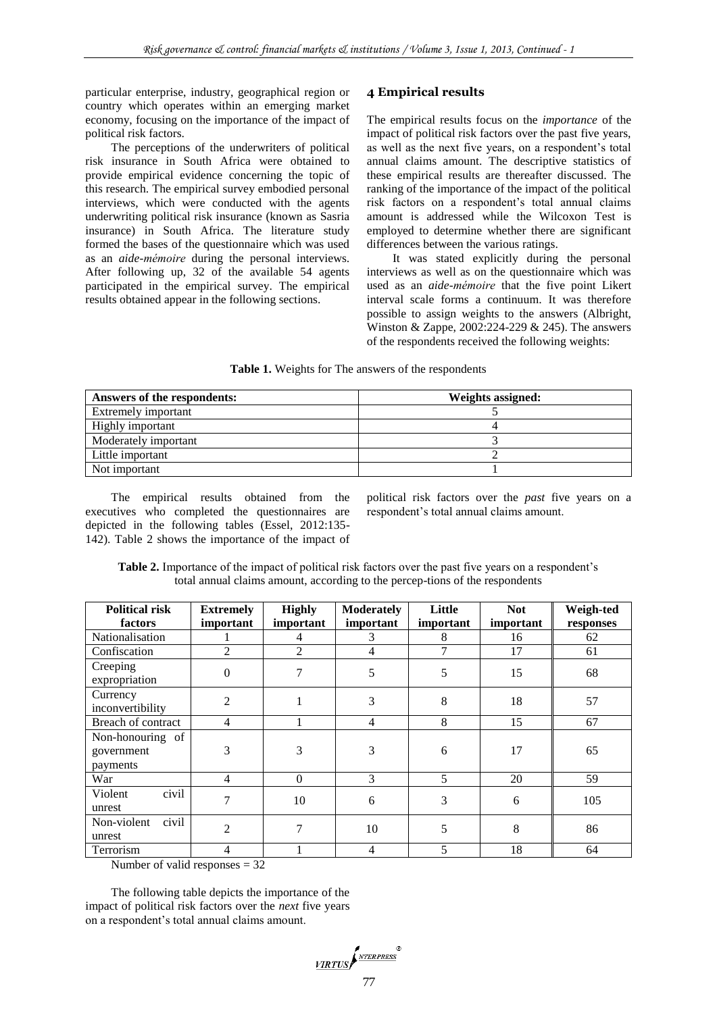particular enterprise, industry, geographical region or country which operates within an emerging market economy, focusing on the importance of the impact of political risk factors.

The perceptions of the underwriters of political risk insurance in South Africa were obtained to provide empirical evidence concerning the topic of this research. The empirical survey embodied personal interviews, which were conducted with the agents underwriting political risk insurance (known as Sasria insurance) in South Africa. The literature study formed the bases of the questionnaire which was used as an *aide-mémoire* during the personal interviews. After following up, 32 of the available 54 agents participated in the empirical survey. The empirical results obtained appear in the following sections.

#### **4 Empirical results**

The empirical results focus on the *importance* of the impact of political risk factors over the past five years, as well as the next five years, on a respondent's total annual claims amount. The descriptive statistics of these empirical results are thereafter discussed. The ranking of the importance of the impact of the political risk factors on a respondent's total annual claims amount is addressed while the Wilcoxon Test is employed to determine whether there are significant differences between the various ratings.

It was stated explicitly during the personal interviews as well as on the questionnaire which was used as an *aide-mémoire* that the five point Likert interval scale forms a continuum. It was therefore possible to assign weights to the answers (Albright, Winston & Zappe,  $2002:224-229$  & 245). The answers of the respondents received the following weights:

#### **Table 1.** Weights for The answers of the respondents

| Answers of the respondents: | Weights assigned: |
|-----------------------------|-------------------|
| Extremely important         |                   |
| Highly important            |                   |
| Moderately important        |                   |
| Little important            |                   |
| Not important               |                   |

The empirical results obtained from the executives who completed the questionnaires are depicted in the following tables (Essel, 2012:135- 142). Table 2 shows the importance of the impact of

political risk factors over the *past* five years on a respondent's total annual claims amount.

| total annual claims amount, according to the percep-tions of the respondents |                               |                            |                                       |                     |                         |                        |
|------------------------------------------------------------------------------|-------------------------------|----------------------------|---------------------------------------|---------------------|-------------------------|------------------------|
| <b>Political risk</b><br>factors                                             | <b>Extremely</b><br>important | <b>Highly</b><br>important | <b>Moderately</b><br><i>important</i> | Little<br>important | <b>Not</b><br>important | Weigh-ted<br>responses |
| Nationalisation                                                              |                               | 4                          | 3                                     | 8                   | 16                      | 62                     |
| Confiscation                                                                 | $\overline{c}$                | $\overline{2}$             | 4                                     | 7                   | 17                      | 61                     |
| Creeping<br>expropriation                                                    | $\theta$                      | 7                          | 5                                     | 5                   | 15                      | 68                     |
| Currency<br>inconvertibility                                                 | $\overline{c}$                |                            | 3                                     | 8                   | 18                      | 57                     |
| Breach of contract                                                           | $\overline{4}$                |                            | $\overline{4}$                        | 8                   | 15                      | 67                     |
| Non-honouring of<br>government<br>payments                                   | 3                             | 3                          | 3                                     | 6                   | 17                      | 65                     |
| War                                                                          | 4                             | $\Omega$                   | 3                                     | 5                   | 20                      | 59                     |
| civil<br>Violent<br>unrest                                                   | 7                             | 10                         | 6                                     | 3                   | 6                       | 105                    |
| Non-violent<br>civil<br>unrest                                               | $\overline{2}$                | 7                          | 10                                    | 5                   | 8                       | 86                     |
| Terrorism<br>$\mathbf{M} = 1, 1, , C = 11.1$                                 | 4<br>$\sim$                   |                            | 4                                     | 5                   | 18                      | 64                     |

**Table 2.** Importance of the impact of political risk factors over the past five years on a respondent's total annual claims amount, according to the percep-tions of the respondents

Number of valid responses = 32

The following table depicts the importance of the impact of political risk factors over the *next* five years on a respondent's total annual claims amount.

$$
\underbrace{\textit{VIRTUS}}\textit{f}^{\textit{NTERPRESS}}\textit{f}
$$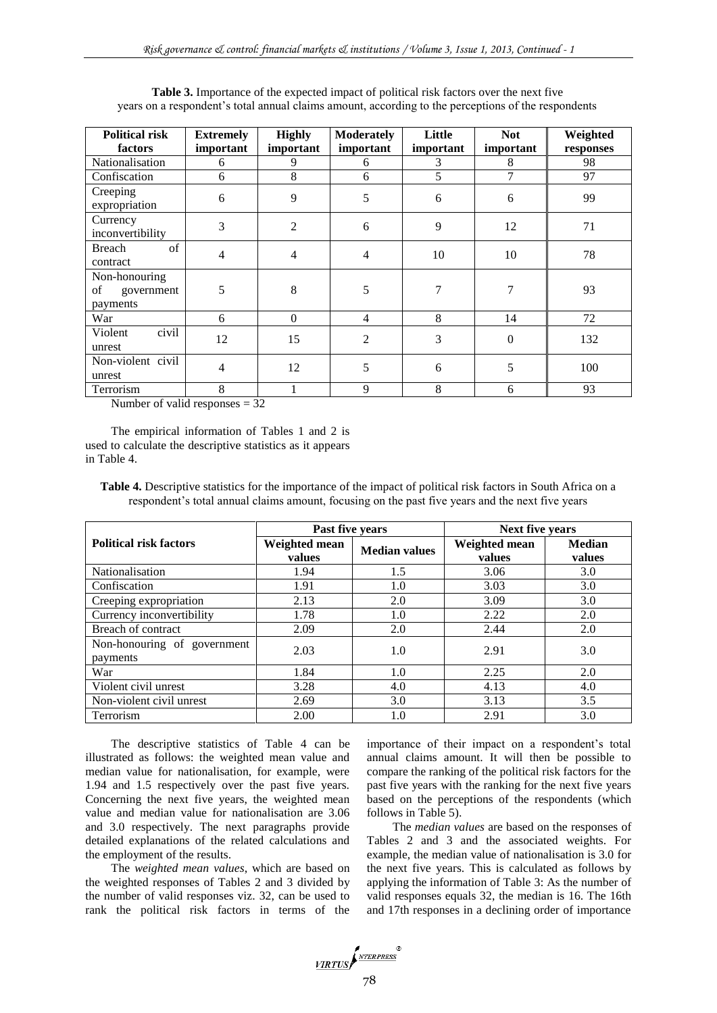| <b>Political risk</b><br>factors              | <b>Extremely</b><br>important | <b>Highly</b><br>important | <b>Moderately</b><br>important | Little<br>important | <b>Not</b><br>important | Weighted        |
|-----------------------------------------------|-------------------------------|----------------------------|--------------------------------|---------------------|-------------------------|-----------------|
| Nationalisation                               | 6                             | 9                          | 6                              | 3                   | 8                       | responses<br>98 |
| Confiscation                                  | 6                             | 8                          | 6                              | 5                   | 7                       | 97              |
| Creeping                                      |                               |                            |                                |                     |                         |                 |
| expropriation                                 | 6                             | 9                          | 5                              | 6                   | 6                       | 99              |
| Currency<br>inconvertibility                  | 3                             | $\overline{2}$             | 6                              | 9                   | 12                      | 71              |
| Breach<br>of<br>contract                      | 4                             | $\overline{4}$             | 4                              | 10                  | 10                      | 78              |
| Non-honouring<br>of<br>government<br>payments | 5                             | 8                          | 5                              |                     | 7                       | 93              |
| War                                           | 6                             | $\theta$                   | 4                              | 8                   | 14                      | 72              |
| civil<br>Violent<br>unrest                    | 12                            | 15                         | $\overline{2}$                 | 3                   | $\overline{0}$          | 132             |
| Non-violent civil<br>unrest                   | 4                             | 12                         | 5                              | 6                   | 5                       | 100             |
| Terrorism<br>.                                | 8                             | $\sim$ $\sim$              | 9                              | 8                   | 6                       | 93              |

**Table 3.** Importance of the expected impact of political risk factors over the next five years on a respondent's total annual claims amount, according to the perceptions of the respondents

Number of valid responses  $= 32$ 

The empirical information of Tables 1 and 2 is used to calculate the descriptive statistics as it appears in Table 4.

**Table 4.** Descriptive statistics for the importance of the impact of political risk factors in South Africa on a respondent's total annual claims amount, focusing on the past five years and the next five years

|                                         | Past five years         |                      | <b>Next five years</b>  |                         |  |
|-----------------------------------------|-------------------------|----------------------|-------------------------|-------------------------|--|
| <b>Political risk factors</b>           | Weighted mean<br>values | <b>Median values</b> | Weighted mean<br>values | <b>Median</b><br>values |  |
| <b>Nationalisation</b>                  | 1.94                    | 1.5                  | 3.06                    | 3.0                     |  |
| Confiscation                            | 1.91                    | 1.0                  | 3.03                    | 3.0                     |  |
| Creeping expropriation                  | 2.13                    | 2.0                  | 3.09                    | 3.0                     |  |
| Currency inconvertibility               | 1.78                    | 1.0                  | 2.22                    | 2.0                     |  |
| Breach of contract                      | 2.09                    | 2.0                  | 2.44                    | 2.0                     |  |
| Non-honouring of government<br>payments | 2.03                    | 1.0                  | 2.91                    | 3.0                     |  |
| War                                     | 1.84                    | 1.0                  | 2.25                    | 2.0                     |  |
| Violent civil unrest                    | 3.28                    | 4.0                  | 4.13                    | 4.0                     |  |
| Non-violent civil unrest                | 2.69                    | 3.0                  | 3.13                    | 3.5                     |  |
| Terrorism                               | 2.00                    | 1.0                  | 2.91                    | 3.0                     |  |

The descriptive statistics of Table 4 can be illustrated as follows: the weighted mean value and median value for nationalisation, for example, were 1.94 and 1.5 respectively over the past five years. Concerning the next five years, the weighted mean value and median value for nationalisation are 3.06 and 3.0 respectively. The next paragraphs provide detailed explanations of the related calculations and the employment of the results.

The *weighted mean values*, which are based on the weighted responses of Tables 2 and 3 divided by the number of valid responses viz. 32, can be used to rank the political risk factors in terms of the importance of their impact on a respondent's total annual claims amount. It will then be possible to compare the ranking of the political risk factors for the past five years with the ranking for the next five years based on the perceptions of the respondents (which follows in Table 5).

The *median values* are based on the responses of Tables 2 and 3 and the associated weights. For example, the median value of nationalisation is 3.0 for the next five years. This is calculated as follows by applying the information of Table 3: As the number of valid responses equals 32, the median is 16. The 16th and 17th responses in a declining order of importance

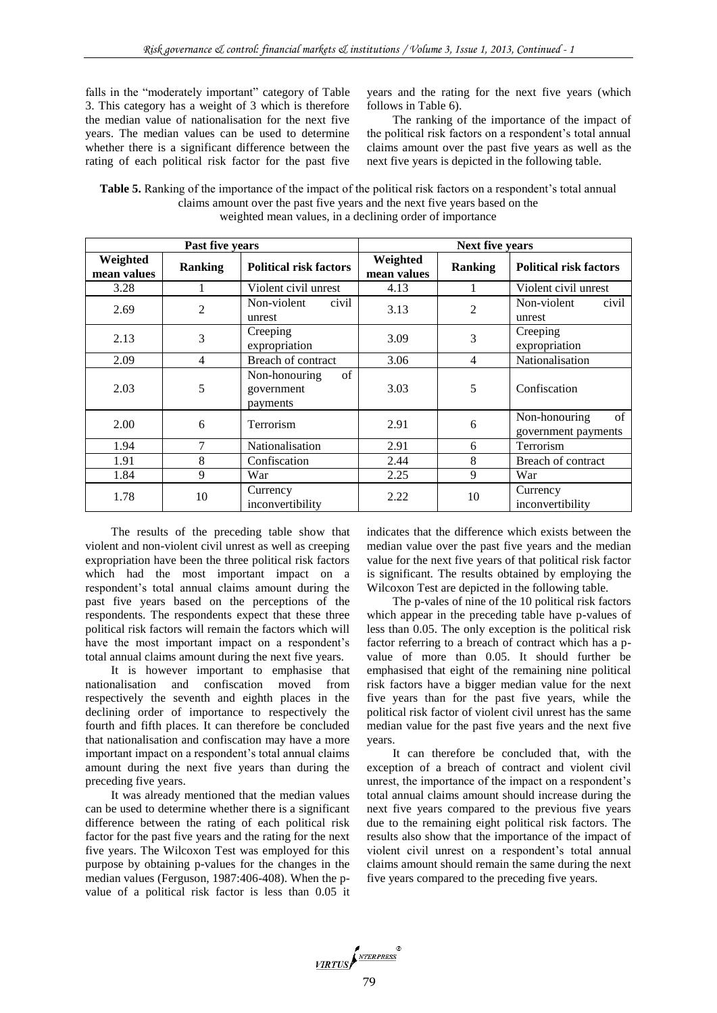falls in the "moderately important" category of Table 3. This category has a weight of 3 which is therefore the median value of nationalisation for the next five years. The median values can be used to determine whether there is a significant difference between the rating of each political risk factor for the past five

years and the rating for the next five years (which follows in Table 6).

The ranking of the importance of the impact of the political risk factors on a respondent's total annual claims amount over the past five years as well as the next five years is depicted in the following table.

**Table 5.** Ranking of the importance of the impact of the political risk factors on a respondent's total annual claims amount over the past five years and the next five years based on the weighted mean values, in a declining order of importance

| Past five years         |                |                                               | <b>Next five years</b>  |                |                                            |
|-------------------------|----------------|-----------------------------------------------|-------------------------|----------------|--------------------------------------------|
| Weighted<br>mean values | <b>Ranking</b> | <b>Political risk factors</b>                 | Weighted<br>mean values | <b>Ranking</b> | <b>Political risk factors</b>              |
| 3.28                    |                | Violent civil unrest                          | 4.13                    |                | Violent civil unrest                       |
| 2.69                    | $\overline{2}$ | Non-violent<br>civil<br>unrest                | 3.13                    | 2              | Non-violent<br>civil<br>unrest             |
| 2.13                    | 3              | Creeping<br>expropriation                     | 3.09                    | 3              | Creeping<br>expropriation                  |
| 2.09                    | 4              | Breach of contract                            | 3.06                    | 4              | Nationalisation                            |
| 2.03                    | 5              | of<br>Non-honouring<br>government<br>payments | 3.03                    | 5              | Confiscation                               |
| 2.00                    | 6              | Terrorism                                     | 2.91                    | 6              | of<br>Non-honouring<br>government payments |
| 1.94                    | 7              | Nationalisation                               | 2.91                    | 6              | Terrorism                                  |
| 1.91                    | 8              | Confiscation                                  | 2.44                    | 8              | Breach of contract                         |
| 1.84                    | 9              | War                                           | 2.25                    | 9              | War                                        |
| 1.78                    | 10             | Currency<br>inconvertibility                  | 2.22                    | 10             | Currency<br>inconvertibility               |

The results of the preceding table show that violent and non-violent civil unrest as well as creeping expropriation have been the three political risk factors which had the most important impact on a respondent's total annual claims amount during the past five years based on the perceptions of the respondents. The respondents expect that these three political risk factors will remain the factors which will have the most important impact on a respondent's total annual claims amount during the next five years.

It is however important to emphasise that nationalisation and confiscation moved from respectively the seventh and eighth places in the declining order of importance to respectively the fourth and fifth places. It can therefore be concluded that nationalisation and confiscation may have a more important impact on a respondent's total annual claims amount during the next five years than during the preceding five years.

It was already mentioned that the median values can be used to determine whether there is a significant difference between the rating of each political risk factor for the past five years and the rating for the next five years. The Wilcoxon Test was employed for this purpose by obtaining p-values for the changes in the median values (Ferguson, 1987:406-408). When the pvalue of a political risk factor is less than 0.05 it indicates that the difference which exists between the median value over the past five years and the median value for the next five years of that political risk factor is significant. The results obtained by employing the Wilcoxon Test are depicted in the following table.

The p-vales of nine of the 10 political risk factors which appear in the preceding table have p-values of less than 0.05. The only exception is the political risk factor referring to a breach of contract which has a pvalue of more than 0.05. It should further be emphasised that eight of the remaining nine political risk factors have a bigger median value for the next five years than for the past five years, while the political risk factor of violent civil unrest has the same median value for the past five years and the next five years.

It can therefore be concluded that, with the exception of a breach of contract and violent civil unrest, the importance of the impact on a respondent's total annual claims amount should increase during the next five years compared to the previous five years due to the remaining eight political risk factors. The results also show that the importance of the impact of violent civil unrest on a respondent's total annual claims amount should remain the same during the next five years compared to the preceding five years.

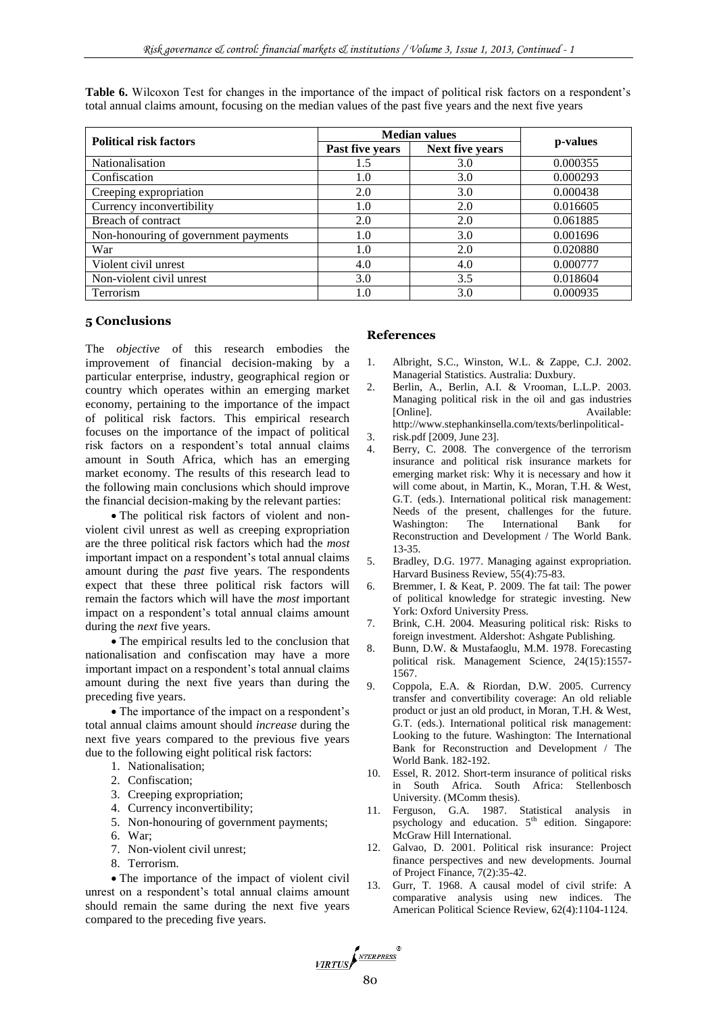| <b>Political risk factors</b>        | <b>Median values</b> |                 |          |  |
|--------------------------------------|----------------------|-----------------|----------|--|
|                                      | Past five years      | Next five years | p-values |  |
| Nationalisation                      | 1.5                  | 3.0             | 0.000355 |  |
| Confiscation                         | 1.0                  | 3.0             | 0.000293 |  |
| Creeping expropriation               | 2.0                  | 3.0             | 0.000438 |  |
| Currency inconvertibility            | 1.0                  | 2.0             | 0.016605 |  |
| Breach of contract                   | 2.0                  | 2.0             | 0.061885 |  |
| Non-honouring of government payments | 1.0                  | 3.0             | 0.001696 |  |
| War                                  | 1.0                  | 2.0             | 0.020880 |  |
| Violent civil unrest                 | 4.0                  | 4.0             | 0.000777 |  |
| Non-violent civil unrest             | 3.0                  | 3.5             | 0.018604 |  |
| Terrorism                            | 1.0                  | 3.0             | 0.000935 |  |

Table 6. Wilcoxon Test for changes in the importance of the impact of political risk factors on a respondent's total annual claims amount, focusing on the median values of the past five years and the next five years

#### **5 Conclusions**

The *objective* of this research embodies the improvement of financial decision-making by a particular enterprise, industry, geographical region or country which operates within an emerging market economy, pertaining to the importance of the impact of political risk factors. This empirical research focuses on the importance of the impact of political risk factors on a respondent's total annual claims amount in South Africa, which has an emerging market economy. The results of this research lead to the following main conclusions which should improve the financial decision-making by the relevant parties:

 The political risk factors of violent and nonviolent civil unrest as well as creeping expropriation are the three political risk factors which had the *most* important impact on a respondent's total annual claims amount during the *past* five years. The respondents expect that these three political risk factors will remain the factors which will have the *most* important impact on a respondent's total annual claims amount during the *next* five years.

 The empirical results led to the conclusion that nationalisation and confiscation may have a more important impact on a respondent's total annual claims amount during the next five years than during the preceding five years.

 The importance of the impact on a respondent's total annual claims amount should *increase* during the next five years compared to the previous five years due to the following eight political risk factors:

- 1. Nationalisation;
- 2. Confiscation;
- 3. Creeping expropriation;
- 4. Currency inconvertibility;
- 5. Non-honouring of government payments;
- 6. War;
- 7. Non-violent civil unrest;
- 8. Terrorism.

• The importance of the impact of violent civil unrest on a respondent's total annual claims amount should remain the same during the next five years compared to the preceding five years.

#### **References**

- 1. Albright, S.C., Winston, W.L. & Zappe, C.J. 2002. Managerial Statistics. Australia: Duxbury.
- 2. Berlin, A., Berlin, A.I. & Vrooman, L.L.P. 2003. Managing political risk in the oil and gas industries [Online]. Available: [http://www.stephankinsella.com/texts/berlinpolitical-](http://www.stephankinsella.com/texts/berlinpolitical)
- 3. risk.pdf [2009, June 23].
- Berry, C. 2008. The convergence of the terrorism insurance and political risk insurance markets for emerging market risk: Why it is necessary and how it will come about, in Martin, K., Moran, T.H. & West, G.T. (eds.). International political risk management: Needs of the present, challenges for the future. Washington: The International Bank for Reconstruction and Development / The World Bank. 13-35.
- 5. Bradley, D.G. 1977. Managing against expropriation. Harvard Business Review, 55(4):75-83.
- 6. Bremmer, I. & Keat, P. 2009. The fat tail: The power of political knowledge for strategic investing. New York: Oxford University Press.
- 7. Brink, C.H. 2004. Measuring political risk: Risks to foreign investment. Aldershot: Ashgate Publishing.
- 8. Bunn, D.W. & Mustafaoglu, M.M. 1978. Forecasting political risk. Management Science, 24(15):1557- 1567.
- 9. Coppola, E.A. & Riordan, D.W. 2005. Currency transfer and convertibility coverage: An old reliable product or just an old product, in Moran, T.H. & West, G.T. (eds.). International political risk management: Looking to the future. Washington: The International Bank for Reconstruction and Development / The World Bank. 182-192.
- 10. Essel, R. 2012. Short-term insurance of political risks in South Africa. South Africa: Stellenbosch University. (MComm thesis).
- 11. Ferguson, G.A. 1987. Statistical analysis in psychology and education.  $5<sup>th</sup>$  edition. Singapore: McGraw Hill International.
- 12. Galvao, D. 2001. Political risk insurance: Project finance perspectives and new developments. Journal of Project Finance, 7(2):35-42.
- 13. Gurr, T. 1968. A causal model of civil strife: A comparative analysis using new indices. The American Political Science Review, 62(4):1104-1124.

VIRTUS ANTERPRESS